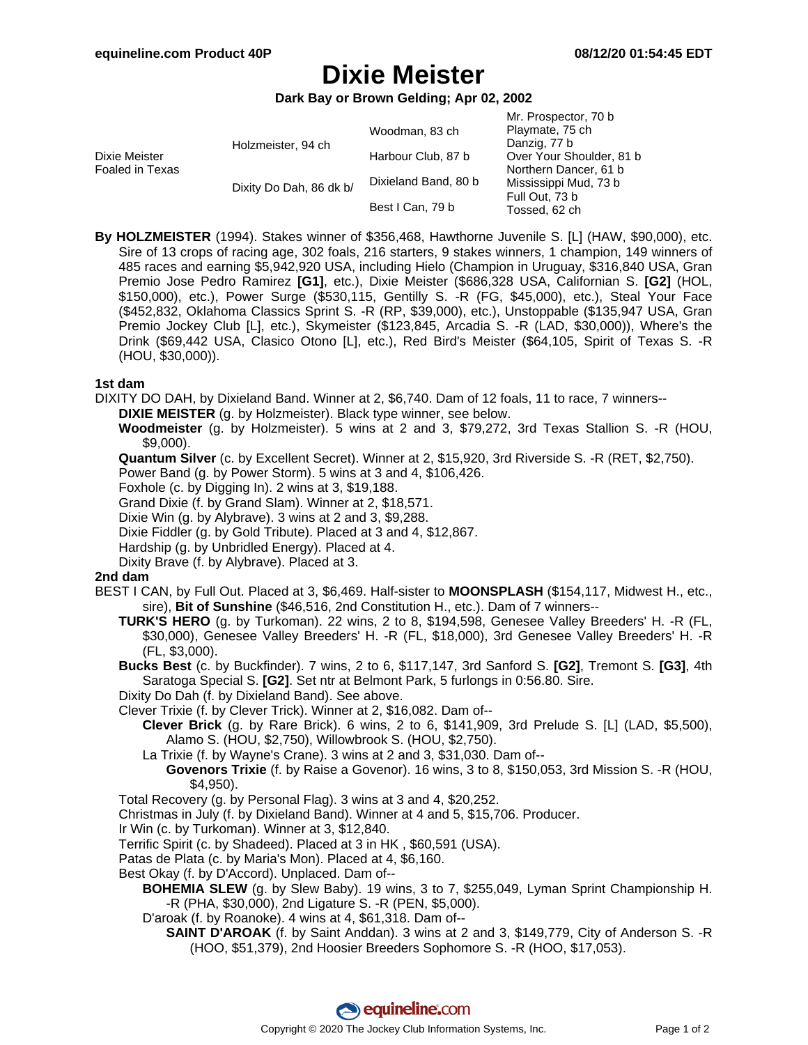# **Dixie Meister**

**Dark Bay or Brown Gelding; Apr 02, 2002**

|                                  | Holzmeister, 94 ch<br>Dixity Do Dah, 86 dk b/ | Woodman, 83 ch<br>Harbour Club, 87 b<br>Dixieland Band, 80 b | Mr. Prospector, 70 b<br>Playmate, 75 ch<br>Danzig, 77 b<br>Over Your Shoulder, 81 b<br>Northern Dancer, 61 b<br>Mississippi Mud, 73 b<br>Full Out, 73 b |  |
|----------------------------------|-----------------------------------------------|--------------------------------------------------------------|---------------------------------------------------------------------------------------------------------------------------------------------------------|--|
|                                  |                                               | Best I Can, 79 b                                             | Tossed, 62 ch                                                                                                                                           |  |
| Dixie Meister<br>Foaled in Texas |                                               |                                                              |                                                                                                                                                         |  |

**By HOLZMEISTER** (1994). Stakes winner of \$356,468, Hawthorne Juvenile S. [L] (HAW, \$90,000), etc. Sire of 13 crops of racing age, 302 foals, 216 starters, 9 stakes winners, 1 champion, 149 winners of 485 races and earning \$5,942,920 USA, including Hielo (Champion in Uruguay, \$316,840 USA, Gran Premio Jose Pedro Ramirez **[G1]**, etc.), Dixie Meister (\$686,328 USA, Californian S. **[G2]** (HOL, \$150,000), etc.), Power Surge (\$530,115, Gentilly S. -R (FG, \$45,000), etc.), Steal Your Face (\$452,832, Oklahoma Classics Sprint S. -R (RP, \$39,000), etc.), Unstoppable (\$135,947 USA, Gran Premio Jockey Club [L], etc.), Skymeister (\$123,845, Arcadia S. -R (LAD, \$30,000)), Where's the Drink (\$69,442 USA, Clasico Otono [L], etc.), Red Bird's Meister (\$64,105, Spirit of Texas S. -R (HOU, \$30,000)).

### **1st dam**

DIXITY DO DAH, by Dixieland Band. Winner at 2, \$6,740. Dam of 12 foals, 11 to race, 7 winners--

**DIXIE MEISTER** (g. by Holzmeister). Black type winner, see below.

**Woodmeister** (g. by Holzmeister). 5 wins at 2 and 3, \$79,272, 3rd Texas Stallion S. -R (HOU, \$9,000).

**Quantum Silver** (c. by Excellent Secret). Winner at 2, \$15,920, 3rd Riverside S. -R (RET, \$2,750).

Power Band (g. by Power Storm). 5 wins at 3 and 4, \$106,426.

Foxhole (c. by Digging In). 2 wins at 3, \$19,188.

Grand Dixie (f. by Grand Slam). Winner at 2, \$18,571.

Dixie Win (g. by Alybrave). 3 wins at 2 and 3, \$9,288.

Dixie Fiddler (g. by Gold Tribute). Placed at 3 and 4, \$12,867.

Hardship (g. by Unbridled Energy). Placed at 4.

Dixity Brave (f. by Alybrave). Placed at 3.

## **2nd dam**

BEST I CAN, by Full Out. Placed at 3, \$6,469. Half-sister to **MOONSPLASH** (\$154,117, Midwest H., etc., sire), **Bit of Sunshine** (\$46,516, 2nd Constitution H., etc.). Dam of 7 winners--

**TURK'S HERO** (g. by Turkoman). 22 wins, 2 to 8, \$194,598, Genesee Valley Breeders' H. -R (FL, \$30,000), Genesee Valley Breeders' H. -R (FL, \$18,000), 3rd Genesee Valley Breeders' H. -R (FL, \$3,000).

**Bucks Best** (c. by Buckfinder). 7 wins, 2 to 6, \$117,147, 3rd Sanford S. **[G2]**, Tremont S. **[G3]**, 4th Saratoga Special S. **[G2]**. Set ntr at Belmont Park, 5 furlongs in 0:56.80. Sire.

Dixity Do Dah (f. by Dixieland Band). See above.

Clever Trixie (f. by Clever Trick). Winner at 2, \$16,082. Dam of--

**Clever Brick** (g. by Rare Brick). 6 wins, 2 to 6, \$141,909, 3rd Prelude S. [L] (LAD, \$5,500), Alamo S. (HOU, \$2,750), Willowbrook S. (HOU, \$2,750).

La Trixie (f. by Wayne's Crane). 3 wins at 2 and 3, \$31,030. Dam of--

**Govenors Trixie** (f. by Raise a Govenor). 16 wins, 3 to 8, \$150,053, 3rd Mission S. -R (HOU, \$4,950).

Total Recovery (g. by Personal Flag). 3 wins at 3 and 4, \$20,252.

Christmas in July (f. by Dixieland Band). Winner at 4 and 5, \$15,706. Producer.

Ir Win (c. by Turkoman). Winner at 3, \$12,840.

Terrific Spirit (c. by Shadeed). Placed at 3 in HK , \$60,591 (USA).

Patas de Plata (c. by Maria's Mon). Placed at 4, \$6,160.

Best Okay (f. by D'Accord). Unplaced. Dam of--

**BOHEMIA SLEW** (g. by Slew Baby). 19 wins, 3 to 7, \$255,049, Lyman Sprint Championship H. -R (PHA, \$30,000), 2nd Ligature S. -R (PEN, \$5,000).

D'aroak (f. by Roanoke). 4 wins at 4, \$61,318. Dam of--

**SAINT D'AROAK** (f. by Saint Anddan). 3 wins at 2 and 3, \$149,779, City of Anderson S. -R (HOO, \$51,379), 2nd Hoosier Breeders Sophomore S. -R (HOO, \$17,053).